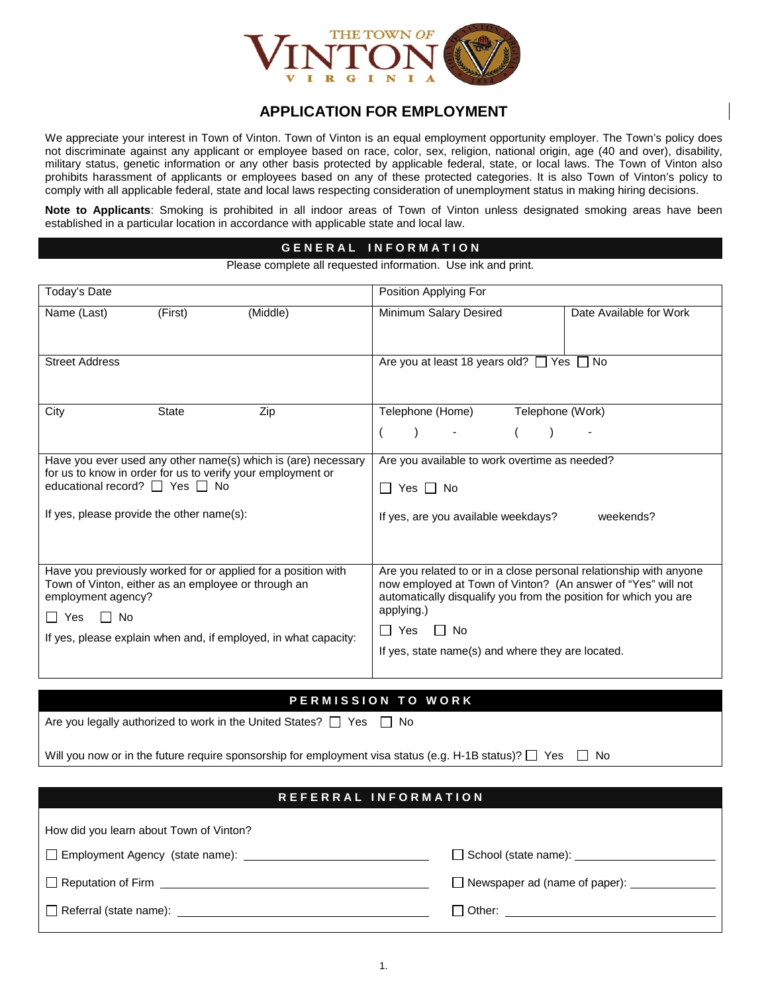

# **APPLICATION FOR EMPLOYMENT**

We appreciate your interest in Town of Vinton. Town of Vinton is an equal employment opportunity employer. The Town's policy does not discriminate against any applicant or employee based on race, color, sex, religion, national origin, age (40 and over), disability, military status, genetic information or any other basis protected by applicable federal, state, or local laws. The Town of Vinton also prohibits harassment of applicants or employees based on any of these protected categories. It is also Town of Vinton's policy to comply with all applicable federal, state and local laws respecting consideration of unemployment status in making hiring decisions.

**Note to Applicants**: Smoking is prohibited in all indoor areas of Town of Vinton unless designated smoking areas have been established in a particular location in accordance with applicable state and local law.

#### **G E N E R A L I N F O R M A T I O N**

Please complete all requested information. Use ink and print.

| Today's Date                                                                                                                               | Position Applying For                                                                                                                                                                                  |                         |  |  |
|--------------------------------------------------------------------------------------------------------------------------------------------|--------------------------------------------------------------------------------------------------------------------------------------------------------------------------------------------------------|-------------------------|--|--|
| (First)<br>(Middle)<br>Name (Last)                                                                                                         | Minimum Salary Desired                                                                                                                                                                                 | Date Available for Work |  |  |
| <b>Street Address</b>                                                                                                                      | Are you at least 18 years old? $\Box$ Yes $\Box$ No                                                                                                                                                    |                         |  |  |
| Zip<br><b>State</b><br>City                                                                                                                | Telephone (Home)<br>Telephone (Work)                                                                                                                                                                   |                         |  |  |
|                                                                                                                                            |                                                                                                                                                                                                        |                         |  |  |
| Have you ever used any other name(s) which is (are) necessary                                                                              | Are you available to work overtime as needed?                                                                                                                                                          |                         |  |  |
| for us to know in order for us to verify your employment or<br>educational record? □ Yes □ No                                              | Yes $\Box$ No<br>$\Box$                                                                                                                                                                                |                         |  |  |
| If yes, please provide the other name(s):                                                                                                  | If yes, are you available weekdays?                                                                                                                                                                    | weekends?               |  |  |
| Have you previously worked for or applied for a position with<br>Town of Vinton, either as an employee or through an<br>employment agency? | Are you related to or in a close personal relationship with anyone<br>now employed at Town of Vinton? (An answer of "Yes" will not<br>automatically disqualify you from the position for which you are |                         |  |  |
| <b>No</b><br>l I Yes                                                                                                                       | applying.)                                                                                                                                                                                             |                         |  |  |
| If yes, please explain when and, if employed, in what capacity:                                                                            | II Yes<br>l I No                                                                                                                                                                                       |                         |  |  |
|                                                                                                                                            | If yes, state name(s) and where they are located.                                                                                                                                                      |                         |  |  |

## **PERMISSION TO WORK**

| Are you legally authorized to work in the United States? □ Yes □ No |  |  |
|---------------------------------------------------------------------|--|--|
|---------------------------------------------------------------------|--|--|

| Will you now or in the future require sponsorship for employment visa status (e.g. H-1B status)? $\Box$ Yes $\Box$ No |  |  |  |  |  |  |
|-----------------------------------------------------------------------------------------------------------------------|--|--|--|--|--|--|
|-----------------------------------------------------------------------------------------------------------------------|--|--|--|--|--|--|

### **R E F E R R A L I N F O R M A T I O N**

| How did you learn about Town of Vinton?                                |                                       |
|------------------------------------------------------------------------|---------------------------------------|
| □ Employment Agency (state name):                                      | School (state name): <u>contained</u> |
| Reputation of Firm <b>contained</b> Reputation of Firm <b>CONSIDER</b> |                                       |
|                                                                        |                                       |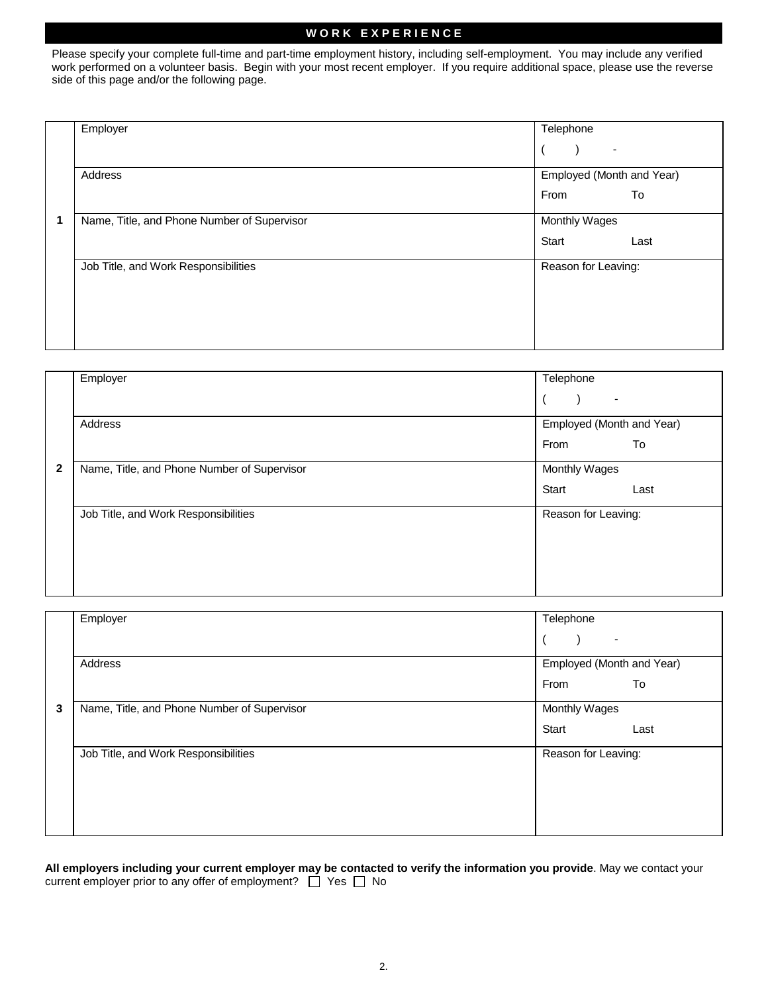#### **W O R K E X P E R I E N C E**

Please specify your complete full-time and part-time employment history, including self-employment. You may include any verified work performed on a volunteer basis. Begin with your most recent employer. If you require additional space, please use the reverse side of this page and/or the following page.

| Employer                                    | Telephone                 |      |
|---------------------------------------------|---------------------------|------|
|                                             | ٠                         |      |
| Address                                     | Employed (Month and Year) |      |
|                                             | From                      | To   |
| Name, Title, and Phone Number of Supervisor | Monthly Wages             |      |
|                                             | Start                     | Last |
| Job Title, and Work Responsibilities        | Reason for Leaving:       |      |
|                                             |                           |      |
|                                             |                           |      |
|                                             |                           |      |

|              | Employer                                    | Telephone                 |      |
|--------------|---------------------------------------------|---------------------------|------|
|              |                                             | $\overline{\phantom{a}}$  |      |
|              | Address                                     | Employed (Month and Year) |      |
|              |                                             | From                      | To   |
| $\mathbf{2}$ | Name, Title, and Phone Number of Supervisor | <b>Monthly Wages</b>      |      |
|              |                                             | Start                     | Last |
|              | Job Title, and Work Responsibilities        | Reason for Leaving:       |      |
|              |                                             |                           |      |
|              |                                             |                           |      |
|              |                                             |                           |      |
|              |                                             |                           |      |

|   | Employer                                    | Telephone                 |      |
|---|---------------------------------------------|---------------------------|------|
|   |                                             | $\overline{\phantom{a}}$  |      |
|   | Address                                     | Employed (Month and Year) |      |
|   |                                             | From                      | To   |
| 3 | Name, Title, and Phone Number of Supervisor | <b>Monthly Wages</b>      |      |
|   |                                             | Start                     | Last |
|   | Job Title, and Work Responsibilities        | Reason for Leaving:       |      |
|   |                                             |                           |      |
|   |                                             |                           |      |
|   |                                             |                           |      |

**All employers including your current employer may be contacted to verify the information you provide**. May we contact your current employer prior to any offer of employment?  $\Box$  Yes  $\Box$  No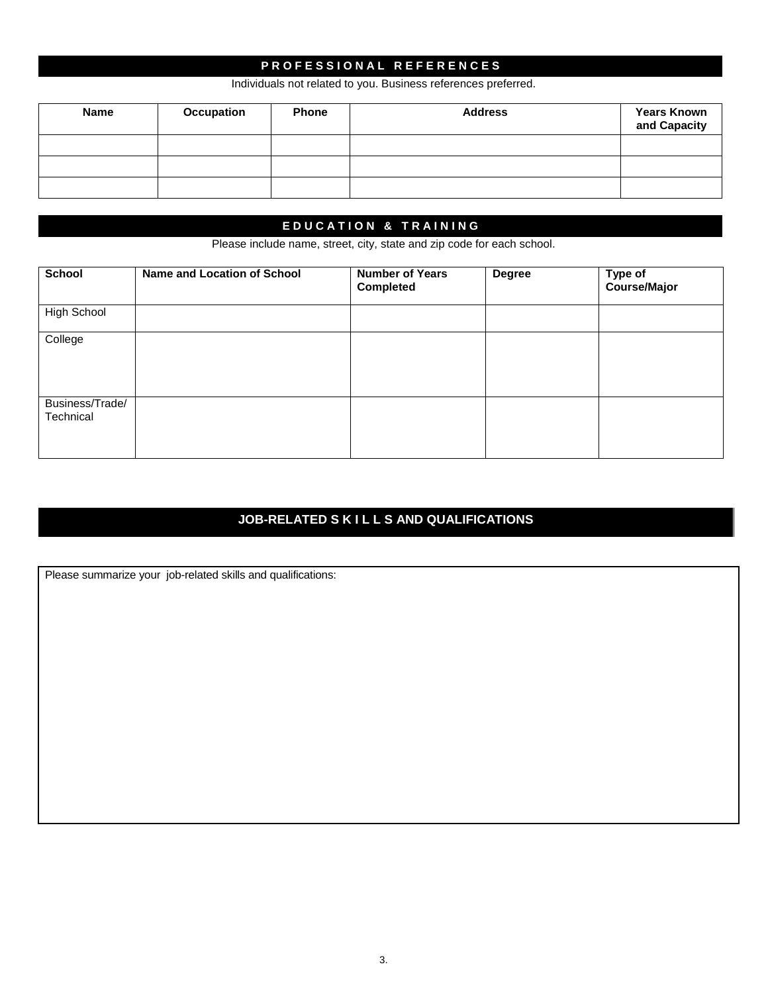# **P R O F E S S I O N A L R E F E R E N C E S**

Individuals not related to you. Business references preferred.

| <b>Name</b> | Occupation | <b>Phone</b> | <b>Address</b> | <b>Years Known</b><br>and Capacity |
|-------------|------------|--------------|----------------|------------------------------------|
|             |            |              |                |                                    |
|             |            |              |                |                                    |
|             |            |              |                |                                    |

# **E D U C A T I O N & T R A I N I N G**

Please include name, street, city, state and zip code for each school.

| School                       | Name and Location of School | <b>Number of Years</b><br><b>Completed</b> | <b>Degree</b> | Type of<br>Course/Major |
|------------------------------|-----------------------------|--------------------------------------------|---------------|-------------------------|
| <b>High School</b>           |                             |                                            |               |                         |
| College                      |                             |                                            |               |                         |
| Business/Trade/<br>Technical |                             |                                            |               |                         |

# **JOB-RELATED S K I L L S AND QUALIFICATIONS**

Please summarize your job-related skills and qualifications: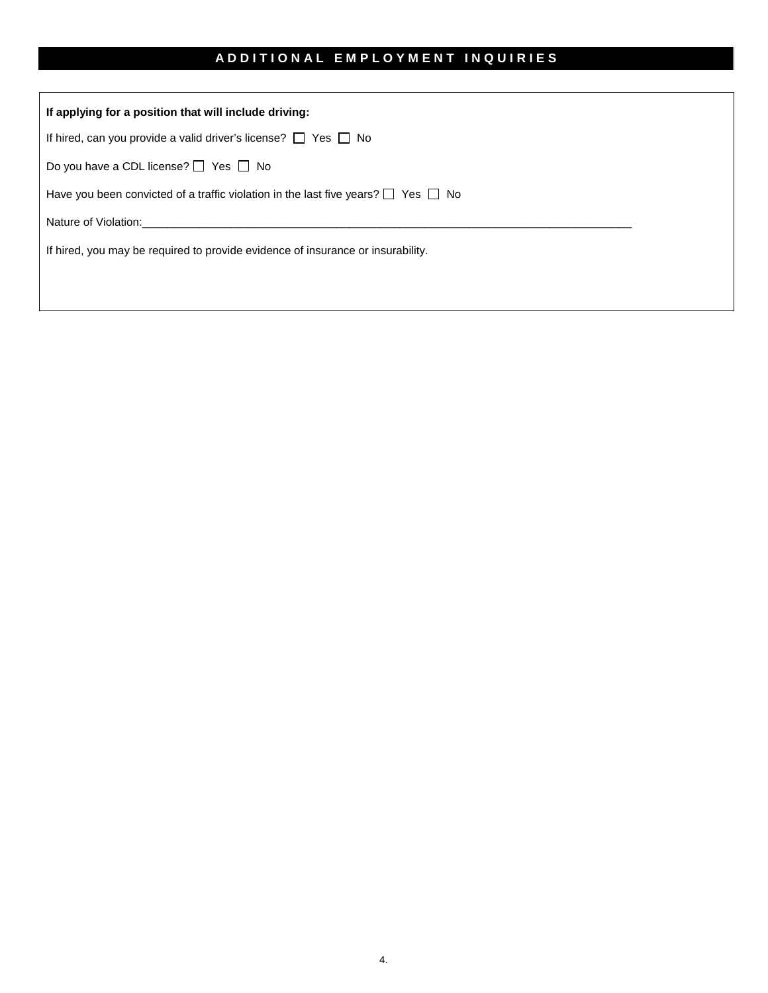# **A D D I T I O N A L E M P L O Y M E N T I N Q U I R I E S**

| If applying for a position that will include driving:                                       |
|---------------------------------------------------------------------------------------------|
| If hired, can you provide a valid driver's license? $\Box$ Yes $\Box$ No                    |
| Do you have a CDL license? $\Box$ Yes $\Box$ No                                             |
| Have you been convicted of a traffic violation in the last five years? $\Box$ Yes $\Box$ No |
| Nature of Violation: Nature of Violation:                                                   |
| If hired, you may be required to provide evidence of insurance or insurability.             |
|                                                                                             |